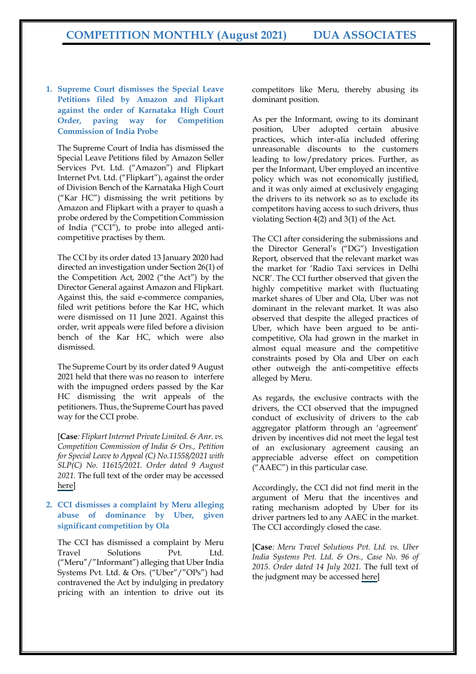**1. Supreme Court dismisses the Special Leave Petitions filed by Amazon and Flipkart against the order of Karnataka High Court Order, paving way for Competition Commission of India Probe**

The Supreme Court of India has dismissed the Special Leave Petitions filed by Amazon Seller Services Pvt. Ltd. ("Amazon") and Flipkart Internet Pvt. Ltd. ("Flipkart"), against the order of Division Bench of the Karnataka High Court ("Kar HC") dismissing the writ petitions by Amazon and Flipkart with a prayer to quash a probe ordered by the Competition Commission of India ("CCI"), to probe into alleged anticompetitive practises by them.

The CCI by its order dated 13 January 2020 had directed an investigation under Section 26(1) of the Competition Act, 2002 ("the Act") by the Director General against Amazon and Flipkart. Against this, the said e-commerce companies, filed writ petitions before the Kar HC, which were dismissed on 11 June 2021. Against this order, writ appeals were filed before a division bench of the Kar HC, which were also dismissed.

The Supreme Court by its order dated 9 August 2021 held that there was no reason to interfere with the impugned orders passed by the Kar HC dismissing the writ appeals of the petitioners. Thus, the Supreme Court has paved way for the CCI probe.

[**Case***: Flipkart Internet Private Limited. & Anr. vs. Competition Commission of India & Ors., Petition for Special Leave to Appeal (C) No.11558/2021 with SLP(C) No. 11615/2021. Order dated 9 August 2021.* The full text of the order may be accessed [here](https://main.sci.gov.in/supremecourt/2021/16978/16978_2021_31_27_29263_Order_09-Aug-2021.pdf)]

## **2. CCI dismisses a complaint by Meru alleging abuse of dominance by Uber, given significant competition by Ola**

The CCI has dismissed a complaint by Meru Travel Solutions Pvt. Ltd. ("Meru"/"Informant") alleging that Uber India Systems Pvt. Ltd. & Ors. ("Uber"/"OPs") had contravened the Act by indulging in predatory pricing with an intention to drive out its competitors like Meru, thereby abusing its dominant position.

As per the Informant, owing to its dominant position, Uber adopted certain abusive practices, which inter-alia included offering unreasonable discounts to the customers leading to low/predatory prices. Further, as per the Informant, Uber employed an incentive policy which was not economically justified, and it was only aimed at exclusively engaging the drivers to its network so as to exclude its competitors having access to such drivers, thus violating Section 4(2) and 3(1) of the Act.

The CCI after considering the submissions and the Director General's ("DG") Investigation Report, observed that the relevant market was the market for 'Radio Taxi services in Delhi NCR'. The CCI further observed that given the highly competitive market with fluctuating market shares of Uber and Ola, Uber was not dominant in the relevant market. It was also observed that despite the alleged practices of Uber, which have been argued to be anticompetitive, Ola had grown in the market in almost equal measure and the competitive constraints posed by Ola and Uber on each other outweigh the anti-competitive effects alleged by Meru.

As regards, the exclusive contracts with the drivers, the CCI observed that the impugned conduct of exclusivity of drivers to the cab aggregator platform through an 'agreement' driven by incentives did not meet the legal test of an exclusionary agreement causing an appreciable adverse effect on competition ("AAEC") in this particular case.

Accordingly, the CCI did not find merit in the argument of Meru that the incentives and rating mechanism adopted by Uber for its driver partners led to any AAEC in the market. The CCI accordingly closed the case.

[**Case***: Meru Travel Solutions Pvt. Ltd. vs. Uber India Systems Pvt. Ltd. & Ors., Case No. 96 of 2015. Order dated 14 July 2021.* The full text of the judgment may be accessed [here\]](https://www.cci.gov.in/sites/default/files/96-of-2015.pdf)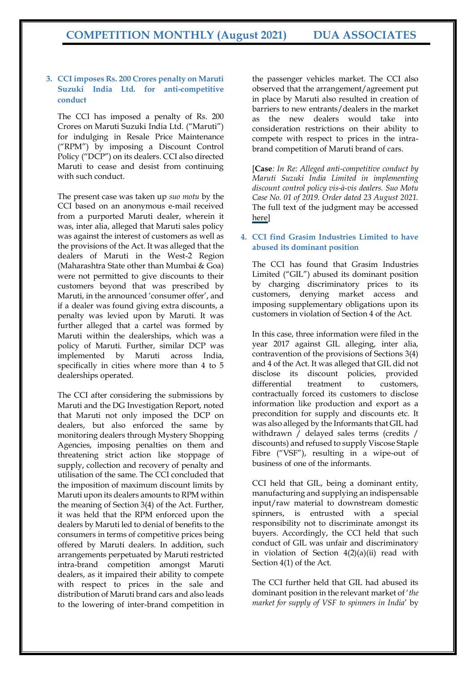#### **3. CCI imposes Rs. 200 Crores penalty on Maruti Suzuki India Ltd. for anti-competitive conduct**

The CCI has imposed a penalty of Rs. 200 Crores on Maruti Suzuki India Ltd. ("Maruti") for indulging in Resale Price Maintenance ("RPM") by imposing a Discount Control Policy ("DCP") on its dealers. CCI also directed Maruti to cease and desist from continuing with such conduct.

The present case was taken up *suo motu* by the CCI based on an anonymous e-mail received from a purported Maruti dealer, wherein it was, inter alia, alleged that Maruti sales policy was against the interest of customers as well as the provisions of the Act. It was alleged that the dealers of Maruti in the West-2 Region (Maharashtra State other than Mumbai & Goa) were not permitted to give discounts to their customers beyond that was prescribed by Maruti, in the announced 'consumer offer', and if a dealer was found giving extra discounts, a penalty was levied upon by Maruti. It was further alleged that a cartel was formed by Maruti within the dealerships, which was a policy of Maruti. Further, similar DCP was implemented by Maruti across India, specifically in cities where more than 4 to 5 dealerships operated.

The CCI after considering the submissions by Maruti and the DG Investigation Report, noted that Maruti not only imposed the DCP on dealers, but also enforced the same by monitoring dealers through Mystery Shopping Agencies, imposing penalties on them and threatening strict action like stoppage of supply, collection and recovery of penalty and utilisation of the same. The CCI concluded that the imposition of maximum discount limits by Maruti upon its dealers amounts to RPM within the meaning of Section 3(4) of the Act. Further, it was held that the RPM enforced upon the dealers by Maruti led to denial of benefits to the consumers in terms of competitive prices being offered by Maruti dealers. In addition, such arrangements perpetuated by Maruti restricted intra-brand competition amongst Maruti dealers, as it impaired their ability to compete with respect to prices in the sale and distribution of Maruti brand cars and also leads to the lowering of inter-brand competition in

the passenger vehicles market. The CCI also observed that the arrangement/agreement put in place by Maruti also resulted in creation of barriers to new entrants/dealers in the market as the new dealers would take into consideration restrictions on their ability to compete with respect to prices in the intrabrand competition of Maruti brand of cars.

[**Case***: In Re: Alleged anti-competitive conduct by Maruti Suzuki India Limited in implementing discount control policy vis-à-vis dealers. Suo Motu Case No. 01 of 2019. Order dated 23 August 2021.*  The full text of the judgment may be accessed [here\]](https://www.cci.gov.in/sites/default/files/SM-01-of-2019.pdf)

# **4. CCI find Grasim Industries Limited to have abused its dominant position**

The CCI has found that Grasim Industries Limited ("GIL") abused its dominant position by charging discriminatory prices to its customers, denying market access and imposing supplementary obligations upon its customers in violation of Section 4 of the Act.

In this case, three information were filed in the year 2017 against GIL alleging, inter alia, contravention of the provisions of Sections 3(4) and 4 of the Act. It was alleged that GIL did not disclose its discount policies, provided differential treatment to customers, contractually forced its customers to disclose information like production and export as a precondition for supply and discounts etc. It was also alleged by the Informants that GIL had withdrawn / delayed sales terms (credits / discounts) and refused to supply Viscose Staple Fibre ("VSF"), resulting in a wipe-out of business of one of the informants.

CCI held that GIL, being a dominant entity, manufacturing and supplying an indispensable input/raw material to downstream domestic spinners, is entrusted with a special responsibility not to discriminate amongst its buyers. Accordingly, the CCI held that such conduct of GIL was unfair and discriminatory in violation of Section 4(2)(a)(ii) read with Section 4(1) of the Act.

The CCI further held that GIL had abused its dominant position in the relevant market of '*the market for supply of VSF to spinners in India*' by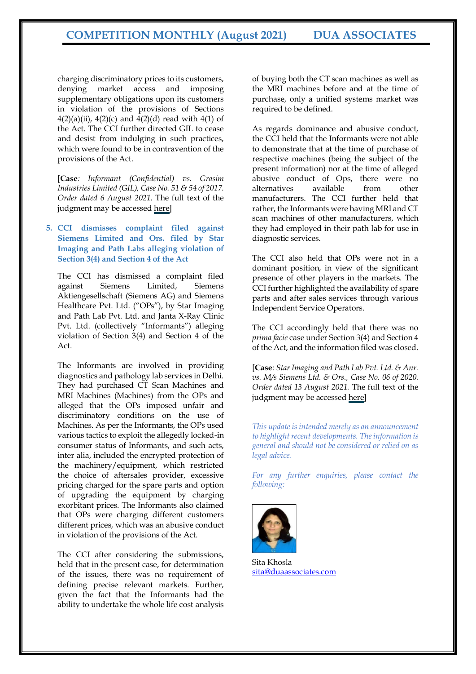charging discriminatory prices to its customers, denying market access and imposing supplementary obligations upon its customers in violation of the provisions of Sections  $4(2)(a)(ii)$ ,  $4(2)(c)$  and  $4(2)(d)$  read with  $4(1)$  of the Act. The CCI further directed GIL to cease and desist from indulging in such practices, which were found to be in contravention of the provisions of the Act.

[**Case***: Informant (Confidential) vs. Grasim Industries Limited (GIL), Case No. 51 & 54 of 2017. Order dated 6 August 2021.* The full text of the judgment may be accessed [here\]](https://www.cci.gov.in/sites/default/files/51-54-56-of-2017.pdf)

# **5. CCI dismisses complaint filed against Siemens Limited and Ors. filed by Star Imaging and Path Labs alleging violation of Section 3(4) and Section 4 of the Act**

The CCI has dismissed a complaint filed against Siemens Limited, Siemens Aktiengesellschaft (Siemens AG) and Siemens Healthcare Pvt. Ltd. ("OPs"), by Star Imaging and Path Lab Pvt. Ltd. and Janta X-Ray Clinic Pvt. Ltd. (collectively "Informants") alleging violation of Section 3(4) and Section 4 of the Act.

The Informants are involved in providing diagnostics and pathology lab services in Delhi. They had purchased CT Scan Machines and MRI Machines (Machines) from the OPs and alleged that the OPs imposed unfair and discriminatory conditions on the use of Machines. As per the Informants, the OPs used various tactics to exploit the allegedly locked-in consumer status of Informants, and such acts, inter alia, included the encrypted protection of the machinery/equipment, which restricted the choice of aftersales provider, excessive pricing charged for the spare parts and option of upgrading the equipment by charging exorbitant prices. The Informants also claimed that OPs were charging different customers different prices, which was an abusive conduct in violation of the provisions of the Act.

The CCI after considering the submissions, held that in the present case, for determination of the issues, there was no requirement of defining precise relevant markets. Further, given the fact that the Informants had the ability to undertake the whole life cost analysis

of buying both the CT scan machines as well as the MRI machines before and at the time of purchase, only a unified systems market was required to be defined.

As regards dominance and abusive conduct, the CCI held that the Informants were not able to demonstrate that at the time of purchase of respective machines (being the subject of the present information) nor at the time of alleged abusive conduct of Ops, there were no alternatives available from other manufacturers. The CCI further held that rather, the Informants were having MRI and CT scan machines of other manufacturers, which they had employed in their path lab for use in diagnostic services.

The CCI also held that OPs were not in a dominant position, in view of the significant presence of other players in the markets. The CCI further highlighted the availability of spare parts and after sales services through various Independent Service Operators.

The CCI accordingly held that there was no *prima facie* case under Section 3(4) and Section 4 of the Act, and the information filed was closed.

[**Case***: Star Imaging and Path Lab Pvt. Ltd. & Anr. vs. M/s Siemens Ltd. & Ors., Case No. 06 of 2020. Order dated 13 August 2021.* The full text of the judgment may be accessed [here\]](https://www.cci.gov.in/sites/default/files/06-of-2020.pdf)

*This update is intended merely as an announcement to highlight recent developments. The information is general and should not be considered or relied on as legal advice.*

*For any further enquiries, please contact the following:*



Sita Khosla [sita@duaassociates.com](mailto:sita@duaassociates.com)